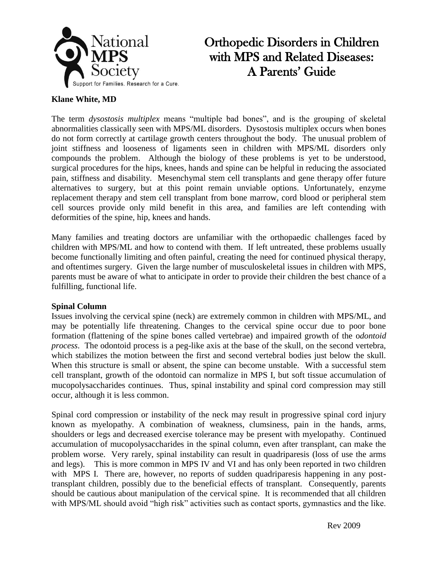

# Orthopedic Disorders in Children with MPS and Related Diseases: A Parents' Guide

## **Klane White, MD**

The term *dysostosis multiplex* means "multiple bad bones", and is the grouping of skeletal abnormalities classically seen with MPS/ML disorders. Dysostosis multiplex occurs when bones do not form correctly at cartilage growth centers throughout the body. The unusual problem of joint stiffness and looseness of ligaments seen in children with MPS/ML disorders only compounds the problem. Although the biology of these problems is yet to be understood, surgical procedures for the hips, knees, hands and spine can be helpful in reducing the associated pain, stiffness and disability. Mesenchymal stem cell transplants and gene therapy offer future alternatives to surgery, but at this point remain unviable options. Unfortunately, enzyme replacement therapy and stem cell transplant from bone marrow, cord blood or peripheral stem cell sources provide only mild benefit in this area, and families are left contending with deformities of the spine, hip, knees and hands.

Many families and treating doctors are unfamiliar with the orthopaedic challenges faced by children with MPS/ML and how to contend with them. If left untreated, these problems usually become functionally limiting and often painful, creating the need for continued physical therapy, and oftentimes surgery. Given the large number of musculoskeletal issues in children with MPS, parents must be aware of what to anticipate in order to provide their children the best chance of a fulfilling, functional life.

### **Spinal Column**

Issues involving the cervical spine (neck) are extremely common in children with MPS/ML, and may be potentially life threatening. Changes to the cervical spine occur due to poor bone formation (flattening of the spine bones called vertebrae) and impaired growth of the o*dontoid process*. The odontoid process is a peg-like axis at the base of the skull, on the second vertebra, which stabilizes the motion between the first and second vertebral bodies just below the skull. When this structure is small or absent, the spine can become unstable. With a successful stem cell transplant, growth of the odontoid can normalize in MPS I, but soft tissue accumulation of mucopolysaccharides continues. Thus, spinal instability and spinal cord compression may still occur, although it is less common.

Spinal cord compression or instability of the neck may result in progressive spinal cord injury known as myelopathy. A combination of weakness, clumsiness, pain in the hands, arms, shoulders or legs and decreased exercise tolerance may be present with myelopathy. Continued accumulation of mucopolysaccharides in the spinal column, even after transplant, can make the problem worse. Very rarely, spinal instability can result in quadriparesis (loss of use the arms and legs). This is more common in MPS IV and VI and has only been reported in two children with MPS I. There are, however, no reports of sudden quadriparesis happening in any posttransplant children, possibly due to the beneficial effects of transplant. Consequently, parents should be cautious about manipulation of the cervical spine. It is recommended that all children with MPS/ML should avoid "high risk" activities such as contact sports, gymnastics and the like.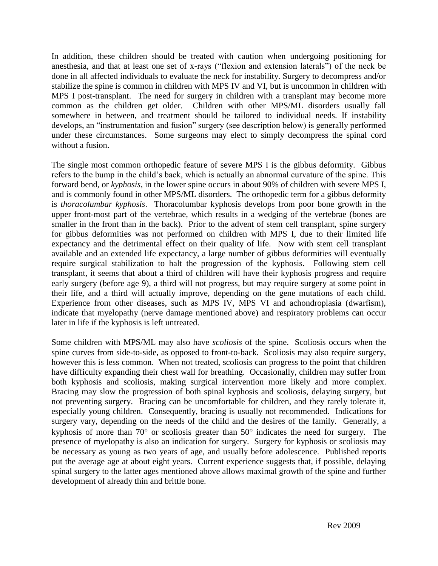In addition, these children should be treated with caution when undergoing positioning for anesthesia, and that at least one set of x-rays ("flexion and extension laterals") of the neck be done in all affected individuals to evaluate the neck for instability. Surgery to decompress and/or stabilize the spine is common in children with MPS IV and VI, but is uncommon in children with MPS I post-transplant. The need for surgery in children with a transplant may become more common as the children get older. Children with other MPS/ML disorders usually fall somewhere in between, and treatment should be tailored to individual needs. If instability develops, an "instrumentation and fusion" surgery (see description below) is generally performed under these circumstances. Some surgeons may elect to simply decompress the spinal cord without a fusion.

The single most common orthopedic feature of severe MPS I is the gibbus deformity. Gibbus refers to the bump in the child's back, which is actually an abnormal curvature of the spine. This forward bend, or *kyphosis*, in the lower spine occurs in about 90% of children with severe MPS I, and is commonly found in other MPS/ML disorders. The orthopedic term for a gibbus deformity is *thoracolumbar kyphosis*. Thoracolumbar kyphosis develops from poor bone growth in the upper front-most part of the vertebrae, which results in a wedging of the vertebrae (bones are smaller in the front than in the back). Prior to the advent of stem cell transplant, spine surgery for gibbus deformities was not performed on children with MPS I, due to their limited life expectancy and the detrimental effect on their quality of life. Now with stem cell transplant available and an extended life expectancy, a large number of gibbus deformities will eventually require surgical stabilization to halt the progression of the kyphosis. Following stem cell transplant, it seems that about a third of children will have their kyphosis progress and require early surgery (before age 9), a third will not progress, but may require surgery at some point in their life, and a third will actually improve, depending on the gene mutations of each child. Experience from other diseases, such as MPS IV, MPS VI and achondroplasia (dwarfism), indicate that myelopathy (nerve damage mentioned above) and respiratory problems can occur later in life if the kyphosis is left untreated.

Some children with MPS/ML may also have *scoliosis* of the spine. Scoliosis occurs when the spine curves from side-to-side, as opposed to front-to-back. Scoliosis may also require surgery, however this is less common. When not treated, scoliosis can progress to the point that children have difficulty expanding their chest wall for breathing. Occasionally, children may suffer from both kyphosis and scoliosis, making surgical intervention more likely and more complex. Bracing may slow the progression of both spinal kyphosis and scoliosis, delaying surgery, but not preventing surgery. Bracing can be uncomfortable for children, and they rarely tolerate it, especially young children. Consequently, bracing is usually not recommended. Indications for surgery vary, depending on the needs of the child and the desires of the family. Generally, a kyphosis of more than  $70^{\circ}$  or scoliosis greater than  $50^{\circ}$  indicates the need for surgery. The presence of myelopathy is also an indication for surgery. Surgery for kyphosis or scoliosis may be necessary as young as two years of age, and usually before adolescence. Published reports put the average age at about eight years. Current experience suggests that, if possible, delaying spinal surgery to the latter ages mentioned above allows maximal growth of the spine and further development of already thin and brittle bone.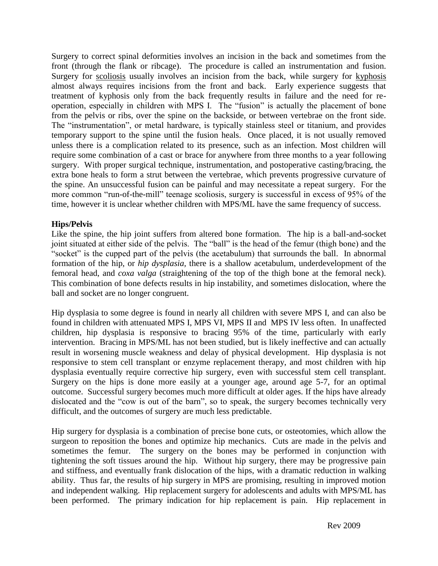Surgery to correct spinal deformities involves an incision in the back and sometimes from the front (through the flank or ribcage). The procedure is called an instrumentation and fusion. Surgery for scoliosis usually involves an incision from the back, while surgery for kyphosis almost always requires incisions from the front and back. Early experience suggests that treatment of kyphosis only from the back frequently results in failure and the need for reoperation, especially in children with MPS I. The "fusion" is actually the placement of bone from the pelvis or ribs, over the spine on the backside, or between vertebrae on the front side. The "instrumentation", or metal hardware, is typically stainless steel or titanium, and provides temporary support to the spine until the fusion heals. Once placed, it is not usually removed unless there is a complication related to its presence, such as an infection. Most children will require some combination of a cast or brace for anywhere from three months to a year following surgery. With proper surgical technique, instrumentation, and postoperative casting/bracing, the extra bone heals to form a strut between the vertebrae, which prevents progressive curvature of the spine. An unsuccessful fusion can be painful and may necessitate a repeat surgery. For the more common "run-of-the-mill" teenage scoliosis, surgery is successful in excess of 95% of the time, however it is unclear whether children with MPS/ML have the same frequency of success.

## **Hips/Pelvis**

Like the spine, the hip joint suffers from altered bone formation. The hip is a ball-and-socket joint situated at either side of the pelvis. The "ball" is the head of the femur (thigh bone) and the "socket" is the cupped part of the pelvis (the acetabulum) that surrounds the ball. In abnormal formation of the hip, or *hip dysplasia,* there is a shallow acetabulum, underdevelopment of the femoral head, and *coxa valga* (straightening of the top of the thigh bone at the femoral neck). This combination of bone defects results in hip instability, and sometimes dislocation, where the ball and socket are no longer congruent.

Hip dysplasia to some degree is found in nearly all children with severe MPS I, and can also be found in children with attenuated MPS I, MPS VI, MPS II and MPS IV less often. In unaffected children, hip dysplasia is responsive to bracing 95% of the time, particularly with early intervention. Bracing in MPS/ML has not been studied, but is likely ineffective and can actually result in worsening muscle weakness and delay of physical development. Hip dysplasia is not responsive to stem cell transplant or enzyme replacement therapy, and most children with hip dysplasia eventually require corrective hip surgery, even with successful stem cell transplant. Surgery on the hips is done more easily at a younger age, around age 5-7, for an optimal outcome. Successful surgery becomes much more difficult at older ages. If the hips have already dislocated and the "cow is out of the barn", so to speak, the surgery becomes technically very difficult, and the outcomes of surgery are much less predictable.

Hip surgery for dysplasia is a combination of precise bone cuts, or osteotomies, which allow the surgeon to reposition the bones and optimize hip mechanics. Cuts are made in the pelvis and sometimes the femur. The surgery on the bones may be performed in conjunction with tightening the soft tissues around the hip. Without hip surgery, there may be progressive pain and stiffness, and eventually frank dislocation of the hips, with a dramatic reduction in walking ability. Thus far, the results of hip surgery in MPS are promising, resulting in improved motion and independent walking. Hip replacement surgery for adolescents and adults with MPS/ML has been performed. The primary indication for hip replacement is pain. Hip replacement in